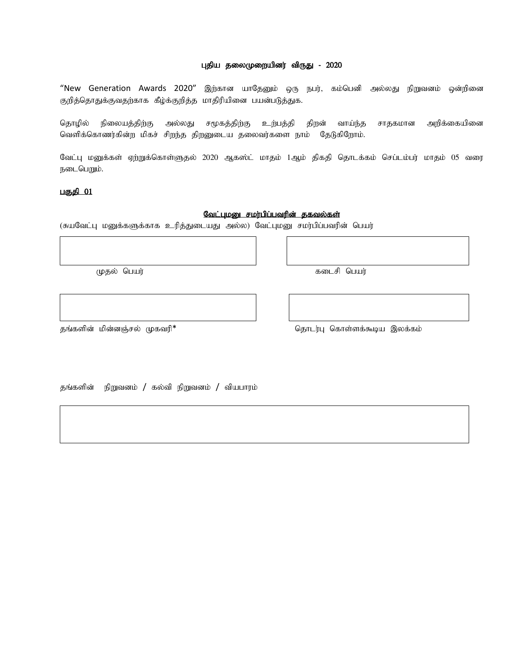## புதிய தலைமுறையினர் விருது - 2020

"New Generation Awards 2020" இற்கான யாதேனும் ஒரு நபர், கம்பெனி அல்லது நிறுவனம் ஒன்றினை குறித்தொதுக்குவதற்காக கீழ்க்குறித்த மாதிரியினை பயன்படுத்துக.

தொழில் நிலையத்திற்கு அல்லது சமூகத்திற்கு உற்பத்தி திறன் வாய்ந்த சாதகமான அறிக்கையினை வெளிக்கொணர்கின்ற மிகச் சிறந்த திறனுடைய தலைவர்களை நாம் தேடுகிறோம்.

வேட்பு மனுக்கள் ஏற்றுக்கொள்ளுதல் 2020 ஆகஸ்ட் மாதம் 1ஆம் திகதி தொடக்கம் செப்டம்பர் மாதம் 05 வரை நடைபெறும்.

# பகுதி $01$

 $\mathbb{R}^n$ 

### வேட்புமனு சமர்பிப்பவரின் தகவல்கள்

(சுயவேட்பு மனுக்களுக்காக உரித்துடையது அல்ல) வேட்புமனு சமர்பிப்பவரின் பெயர்

Kjy; ngau; filrp ngau;

jq;fspd; kpd;dQ;ry; Kftup\* njhlu;G nfhs ;sf;\$ba ,yf;fk;

தங்களின் நிறுவனம் / கல்வி நிறுவனம் / வியபாரம்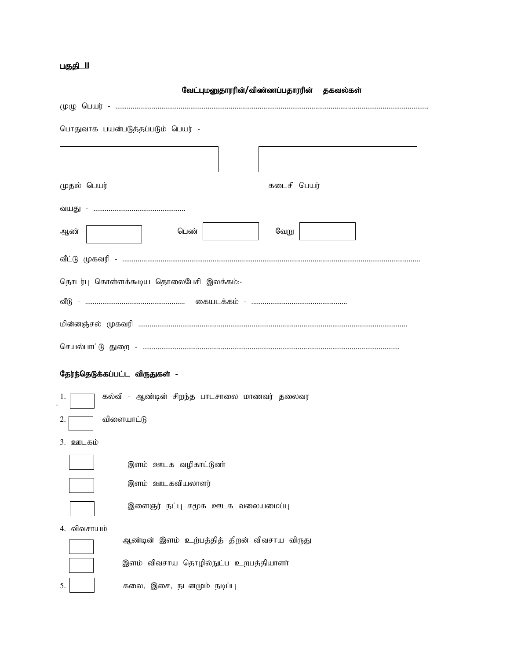# பகுதி 11

|                                     | பொதுவாக பயன்படுத்தப்படும் பெயர் -                       |             |  |
|-------------------------------------|---------------------------------------------------------|-------------|--|
|                                     |                                                         |             |  |
| முதல் பெயர்                         |                                                         | கடைசி பெயர் |  |
|                                     |                                                         |             |  |
| ஆண்                                 | பெண்                                                    | வேறு        |  |
|                                     |                                                         |             |  |
|                                     | தொடர்பு கொள்ளக்கூடிய தொலைபேசி இலக்கம்:-                 |             |  |
|                                     |                                                         |             |  |
|                                     |                                                         |             |  |
|                                     | வீடு - ……………………………………………… கையடக்கம் - …………………………………………… |             |  |
|                                     |                                                         |             |  |
|                                     |                                                         |             |  |
|                                     |                                                         |             |  |
|                                     | தேர்ந்தெடுக்கப்பட்ட விருதுகள் -                         |             |  |
|                                     | கல்வி - ஆண்டின் சிறந்த பாடசாலை மாணவர் தலைவர             |             |  |
|                                     |                                                         |             |  |
|                                     | விளையாட்டு                                              |             |  |
|                                     |                                                         |             |  |
|                                     | இளம் ஊடக வழிகாட்டுனா்                                   |             |  |
|                                     | இளம் ஊடகவியலாளர்                                        |             |  |
|                                     | இளைஞர் நட்பு சமூக ஊடக வலையமைப்பு                        |             |  |
| 1.<br>2.<br>3. ஊடகம்<br>4. விவசாயம் |                                                         |             |  |
|                                     | ஆண்டின் இளம் உற்பத்தித் திறன் விவசாய விருது             |             |  |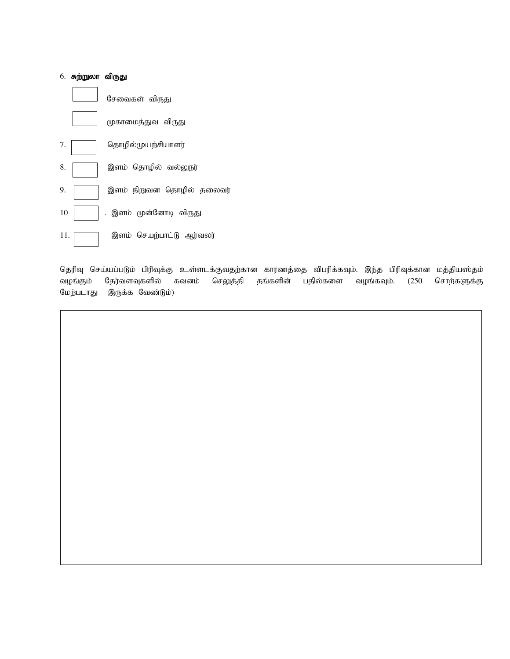

தெரிவு செய்யப்படும் பிரிவுக்கு உள்ளடக்குவதற்கான காரணத்தை விபரிக்கவும். இந்த பிரிவுக்கான மத்தியஸ்தம் வழங்கும் தேர்வளவுகளில் கவனம் செலுத்தி தங்களின் பதில்களை வழங்கவும். (250 சொற்களுக்கு மேற்படாது இருக்க வேண்டும்)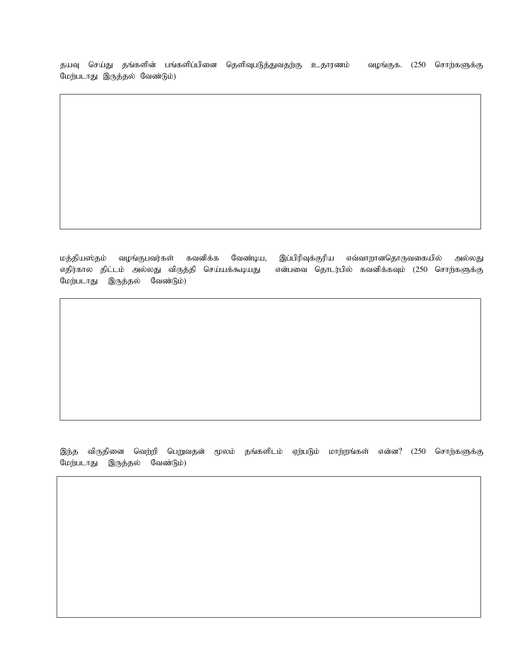தயவு செய்து தங்களின் பங்களிப்பினை தெளிவுபடுத்துவதற்கு உதாரணம் வழங்குக. (250 சொற்களுக்கு மேற்படாது இருத்தல் வேண்டும்)

மத்தியஸ்தம் வழங்குபவர்கள் கவனிக்க வேண்டிய, இப்பிரிவுக்குரிய எவ்வாறானதொருவகையில் அல்லது எதிர்கால திட்டம் அல்லது விருத்தி செய்யக்கூடியது என்பவை தொடர்பில் கவனிக்கவும் (250 சொற்களுக்கு மேற்படாது இருத்தல் வேண்டும்)

இந்த விருதினை வெற்றி பெறுவதன் மூலம் தங்களிடம் ஏற்படும் மாற்றங்கள் என்ன? (250 சொற்களுக்கு மேற்படாது இருத்தல் வேண்டும்)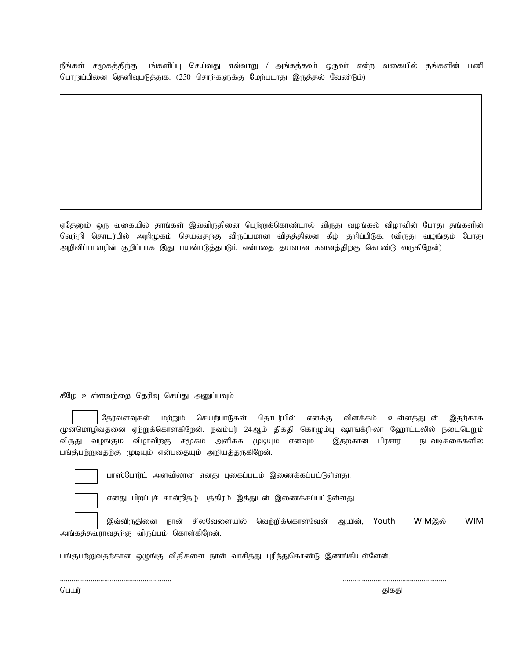நீங்கள் சமூகத்திற்கு பங்களிப்பு செய்வது எவ்வாறு / அங்கத்தவா் ஒருவா் என்ற வகையில் தங்களின் பணி பொறுப்பினை தெளிவுபடுத்துக. (250 சொற்களுக்கு மேற்படாது இருத்தல் வேண்டும்)

ஏதேனும் ஒரு வகையில் தாங்கள் இவ்விருதினை பெற்றுக்கொண்டால் விருது வழங்கல் விழாவின் போது தங்களின் வெற்றி தொடர்பில் அறிமுகம் செய்வதற்கு விருப்பமான விதத்தினை கீழ் குறிப்பிடுக. (விருது வழங்கும் போது அறிவிப்பாளரின் குறிப்பாக இது பயன்படுத்தபடும் என்பதை தயவான கவனத்திற்கு கொண்டு வருகிறேன்)

கீழே உள்ளவற்றை தெரிவு செய்து அனுப்பவும்

தேர்வளவுகள் மற்றும் செயற்பாடுகள் தொடர்பில் எனக்கு விளக்கம் உள்ளத்துடன் இதற்காக முன்மொழிவதனை ஏற்றுக்கொள்கிறேன். நவம்பர் 24ஆம் திகதி கொழும்பு ஷாங்க்ரி-லா ஹோட்டலில் நடைபெறும் விருது வழங்கும் விழாவிற்கு சமூகம் அளிக்க முடியும் எனவும் இதற்கான பிரசார நடவடிக்கைகளில் பங்கு்பற்றுவதற்கு முடியும் என்பதையும் அறியத்தருகிறேன்.



பாஸ்போர்ட் அளவிலான எனது புகைப்படம் இணைக்கப்பட்டுள்ளது.

எனது பிறப்புச் சான்றிதழ் பத்திரம் இத்துடன் இணைக்கப்பட்டுள்ளது.

இவ்விருதினை நான் சிலவேளையில் வெற்றிக்கொள்வேன் ஆயின், Youth WIMஇல் WIM அங்கத்தவராவதற்கு விருப்பம் கொள்கிறேன்.

.......................................................... ......................................................

பங்குபற்றுவதற்கான ஒழுங்கு விதிகளை நான் வாசித்து புரிந்துகொண்டு இணங்கியுள்ளேன்.

பெயர் முறைம் முறையில் முறையில் முறையில் முறையில் முறையில் முறையில் முறையில் முறையில் முறையில் முறையில் முறையில